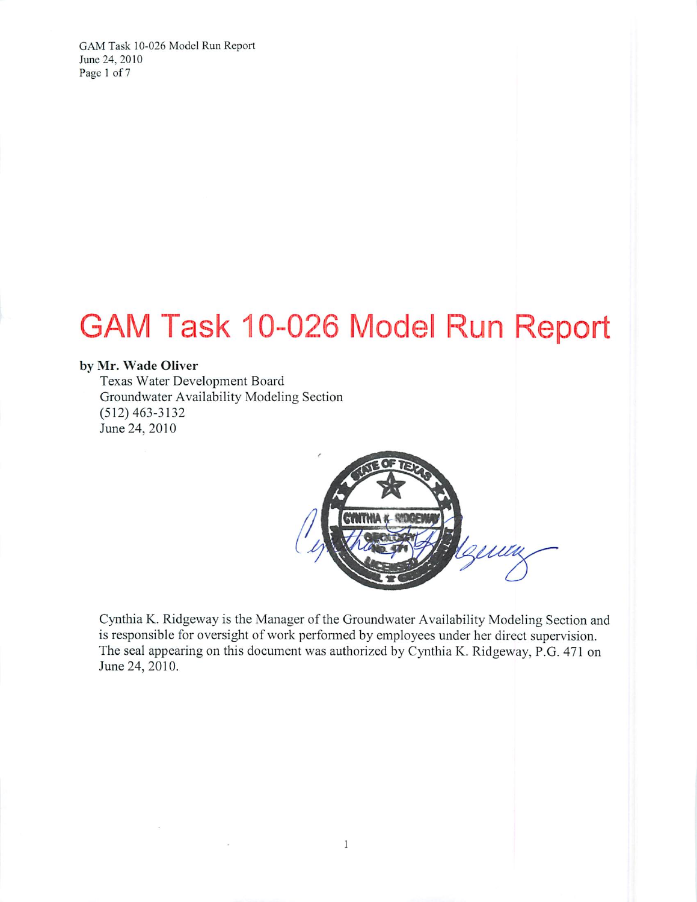GAM Task 10-026 Model Run Report June 24, 2010 Page 1 of 7

# GAM Task 10-026 Model Run Report

#### by Mr. Wade Oliver

Texas Water Development Board Groundwater Availability Modeling Section  $(512)$  463-3132 June 24, 2010



Cynthia K. Ridgeway is the Manager of the Groundwater Availability Modeling Section and is responsible for oversight of work performed by employees under her direct supervision. The seal appearing on this document was authorized by Cynthia K. Ridgeway, P.G. 471 on June 24, 2010.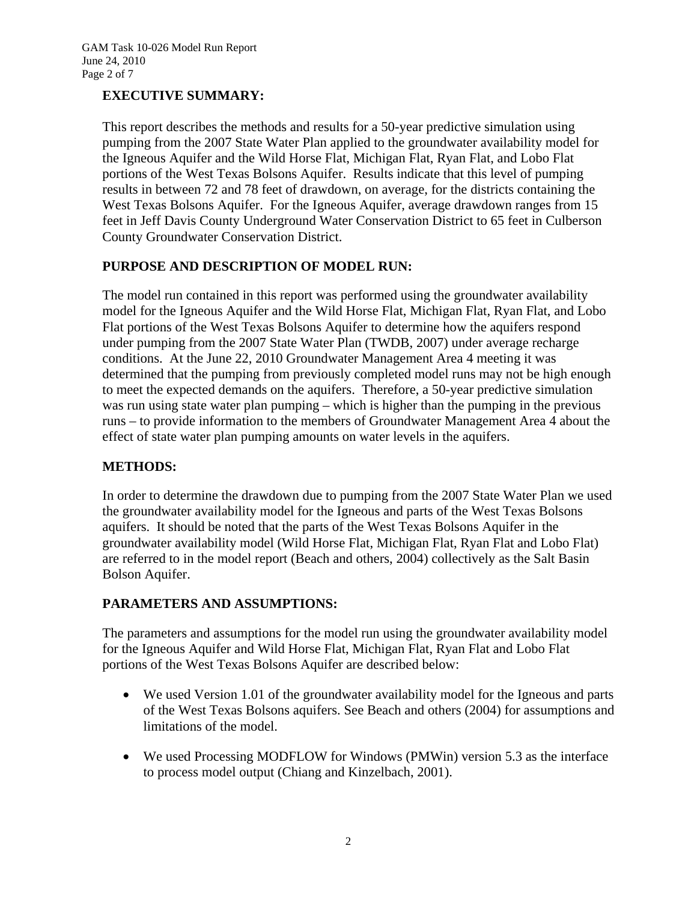# **EXECUTIVE SUMMARY:**

This report describes the methods and results for a 50-year predictive simulation using pumping from the 2007 State Water Plan applied to the groundwater availability model for the Igneous Aquifer and the Wild Horse Flat, Michigan Flat, Ryan Flat, and Lobo Flat portions of the West Texas Bolsons Aquifer. Results indicate that this level of pumping results in between 72 and 78 feet of drawdown, on average, for the districts containing the West Texas Bolsons Aquifer. For the Igneous Aquifer, average drawdown ranges from 15 feet in Jeff Davis County Underground Water Conservation District to 65 feet in Culberson County Groundwater Conservation District.

# **PURPOSE AND DESCRIPTION OF MODEL RUN:**

The model run contained in this report was performed using the groundwater availability model for the Igneous Aquifer and the Wild Horse Flat, Michigan Flat, Ryan Flat, and Lobo Flat portions of the West Texas Bolsons Aquifer to determine how the aquifers respond under pumping from the 2007 State Water Plan (TWDB, 2007) under average recharge conditions. At the June 22, 2010 Groundwater Management Area 4 meeting it was determined that the pumping from previously completed model runs may not be high enough to meet the expected demands on the aquifers. Therefore, a 50-year predictive simulation was run using state water plan pumping – which is higher than the pumping in the previous runs – to provide information to the members of Groundwater Management Area 4 about the effect of state water plan pumping amounts on water levels in the aquifers.

# **METHODS:**

In order to determine the drawdown due to pumping from the 2007 State Water Plan we used the groundwater availability model for the Igneous and parts of the West Texas Bolsons aquifers. It should be noted that the parts of the West Texas Bolsons Aquifer in the groundwater availability model (Wild Horse Flat, Michigan Flat, Ryan Flat and Lobo Flat) are referred to in the model report (Beach and others, 2004) collectively as the Salt Basin Bolson Aquifer.

#### **PARAMETERS AND ASSUMPTIONS:**

The parameters and assumptions for the model run using the groundwater availability model for the Igneous Aquifer and Wild Horse Flat, Michigan Flat, Ryan Flat and Lobo Flat portions of the West Texas Bolsons Aquifer are described below:

- We used Version 1.01 of the groundwater availability model for the Igneous and parts of the West Texas Bolsons aquifers. See Beach and others (2004) for assumptions and limitations of the model.
- We used Processing MODFLOW for Windows (PMWin) version 5.3 as the interface to process model output (Chiang and Kinzelbach, 2001).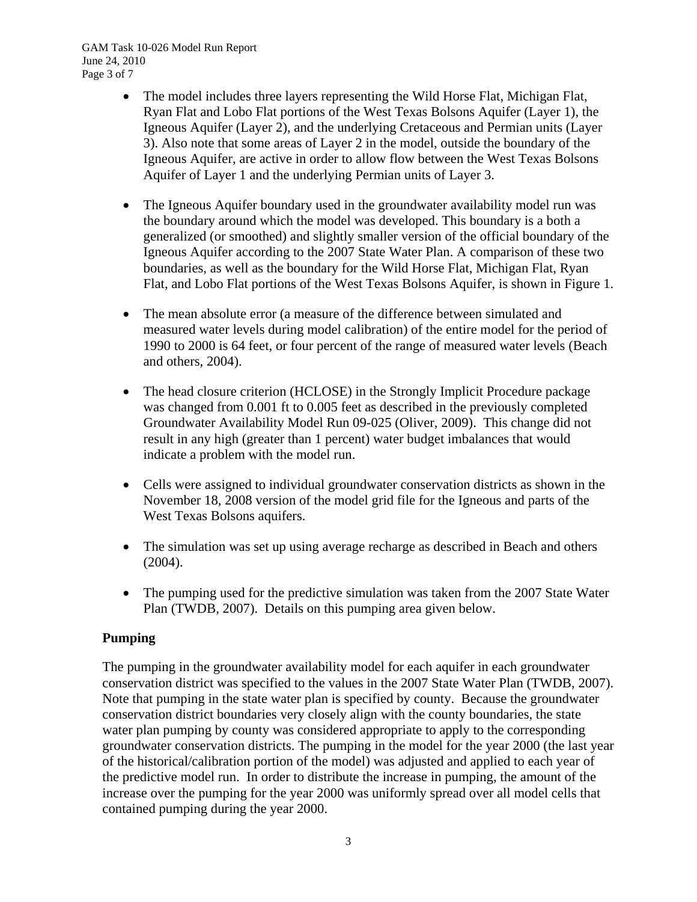- The model includes three layers representing the Wild Horse Flat, Michigan Flat, Ryan Flat and Lobo Flat portions of the West Texas Bolsons Aquifer (Layer 1), the Igneous Aquifer (Layer 2), and the underlying Cretaceous and Permian units (Layer 3). Also note that some areas of Layer 2 in the model, outside the boundary of the Igneous Aquifer, are active in order to allow flow between the West Texas Bolsons Aquifer of Layer 1 and the underlying Permian units of Layer 3.
- The Igneous Aquifer boundary used in the groundwater availability model run was the boundary around which the model was developed. This boundary is a both a generalized (or smoothed) and slightly smaller version of the official boundary of the Igneous Aquifer according to the 2007 State Water Plan. A comparison of these two boundaries, as well as the boundary for the Wild Horse Flat, Michigan Flat, Ryan Flat, and Lobo Flat portions of the West Texas Bolsons Aquifer, is shown in Figure 1.
- The mean absolute error (a measure of the difference between simulated and measured water levels during model calibration) of the entire model for the period of 1990 to 2000 is 64 feet, or four percent of the range of measured water levels (Beach and others, 2004).
- The head closure criterion (HCLOSE) in the Strongly Implicit Procedure package was changed from 0.001 ft to 0.005 feet as described in the previously completed Groundwater Availability Model Run 09-025 (Oliver, 2009). This change did not result in any high (greater than 1 percent) water budget imbalances that would indicate a problem with the model run.
- Cells were assigned to individual groundwater conservation districts as shown in the November 18, 2008 version of the model grid file for the Igneous and parts of the West Texas Bolsons aquifers.
- The simulation was set up using average recharge as described in Beach and others (2004).
- The pumping used for the predictive simulation was taken from the 2007 State Water Plan (TWDB, 2007). Details on this pumping area given below.

# **Pumping**

The pumping in the groundwater availability model for each aquifer in each groundwater conservation district was specified to the values in the 2007 State Water Plan (TWDB, 2007). Note that pumping in the state water plan is specified by county. Because the groundwater conservation district boundaries very closely align with the county boundaries, the state water plan pumping by county was considered appropriate to apply to the corresponding groundwater conservation districts. The pumping in the model for the year 2000 (the last year of the historical/calibration portion of the model) was adjusted and applied to each year of the predictive model run. In order to distribute the increase in pumping, the amount of the increase over the pumping for the year 2000 was uniformly spread over all model cells that contained pumping during the year 2000.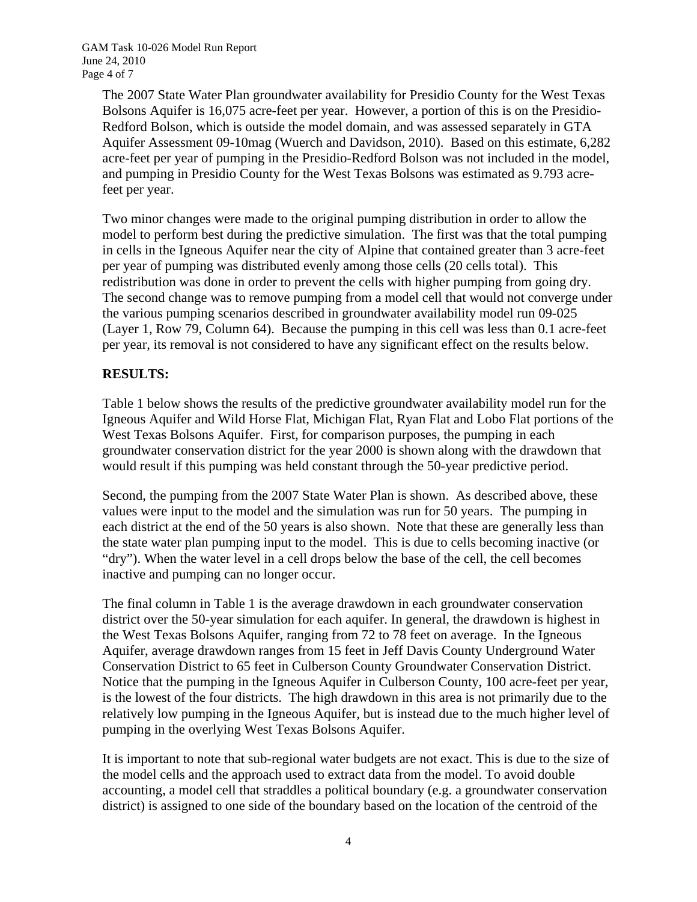GAM Task 10-026 Model Run Report June 24, 2010 Page 4 of 7

> The 2007 State Water Plan groundwater availability for Presidio County for the West Texas Bolsons Aquifer is 16,075 acre-feet per year. However, a portion of this is on the Presidio-Redford Bolson, which is outside the model domain, and was assessed separately in GTA Aquifer Assessment 09-10mag (Wuerch and Davidson, 2010). Based on this estimate, 6,282 acre-feet per year of pumping in the Presidio-Redford Bolson was not included in the model, and pumping in Presidio County for the West Texas Bolsons was estimated as 9.793 acrefeet per year.

> Two minor changes were made to the original pumping distribution in order to allow the model to perform best during the predictive simulation. The first was that the total pumping in cells in the Igneous Aquifer near the city of Alpine that contained greater than 3 acre-feet per year of pumping was distributed evenly among those cells (20 cells total). This redistribution was done in order to prevent the cells with higher pumping from going dry. The second change was to remove pumping from a model cell that would not converge under the various pumping scenarios described in groundwater availability model run 09-025 (Layer 1, Row 79, Column 64). Because the pumping in this cell was less than 0.1 acre-feet per year, its removal is not considered to have any significant effect on the results below.

### **RESULTS:**

Table 1 below shows the results of the predictive groundwater availability model run for the Igneous Aquifer and Wild Horse Flat, Michigan Flat, Ryan Flat and Lobo Flat portions of the West Texas Bolsons Aquifer. First, for comparison purposes, the pumping in each groundwater conservation district for the year 2000 is shown along with the drawdown that would result if this pumping was held constant through the 50-year predictive period.

Second, the pumping from the 2007 State Water Plan is shown. As described above, these values were input to the model and the simulation was run for 50 years. The pumping in each district at the end of the 50 years is also shown. Note that these are generally less than the state water plan pumping input to the model. This is due to cells becoming inactive (or "dry"). When the water level in a cell drops below the base of the cell, the cell becomes inactive and pumping can no longer occur.

The final column in Table 1 is the average drawdown in each groundwater conservation district over the 50-year simulation for each aquifer. In general, the drawdown is highest in the West Texas Bolsons Aquifer, ranging from 72 to 78 feet on average. In the Igneous Aquifer, average drawdown ranges from 15 feet in Jeff Davis County Underground Water Conservation District to 65 feet in Culberson County Groundwater Conservation District. Notice that the pumping in the Igneous Aquifer in Culberson County, 100 acre-feet per year, is the lowest of the four districts. The high drawdown in this area is not primarily due to the relatively low pumping in the Igneous Aquifer, but is instead due to the much higher level of pumping in the overlying West Texas Bolsons Aquifer.

It is important to note that sub-regional water budgets are not exact. This is due to the size of the model cells and the approach used to extract data from the model. To avoid double accounting, a model cell that straddles a political boundary (e.g. a groundwater conservation district) is assigned to one side of the boundary based on the location of the centroid of the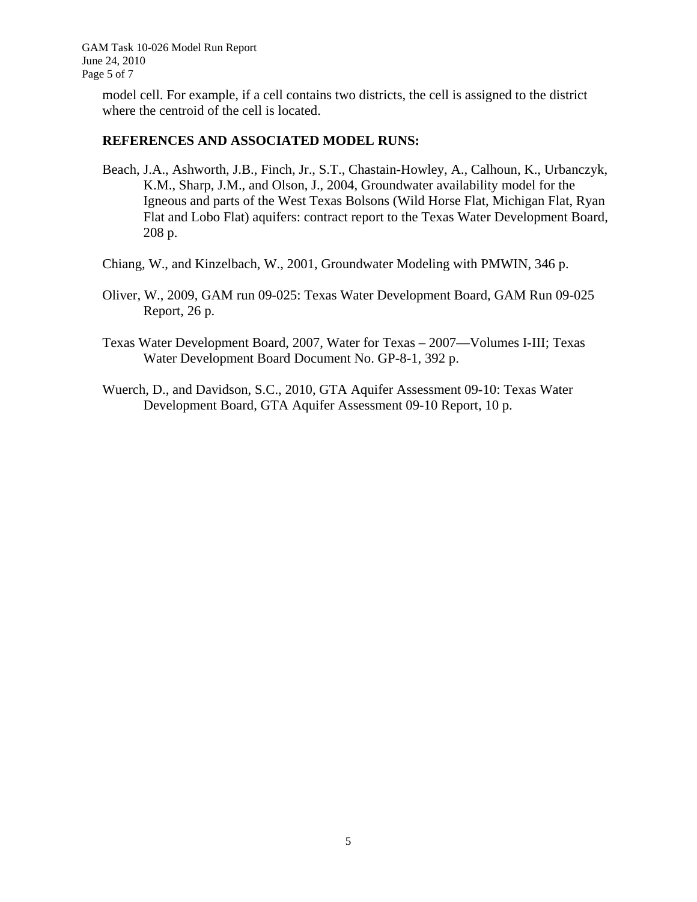GAM Task 10-026 Model Run Report June 24, 2010 Page 5 of 7

> model cell. For example, if a cell contains two districts, the cell is assigned to the district where the centroid of the cell is located.

#### **REFERENCES AND ASSOCIATED MODEL RUNS:**

- Beach, J.A., Ashworth, J.B., Finch, Jr., S.T., Chastain-Howley, A., Calhoun, K., Urbanczyk, K.M., Sharp, J.M., and Olson, J., 2004, Groundwater availability model for the Igneous and parts of the West Texas Bolsons (Wild Horse Flat, Michigan Flat, Ryan Flat and Lobo Flat) aquifers: contract report to the Texas Water Development Board, 208 p.
- Chiang, W., and Kinzelbach, W., 2001, Groundwater Modeling with PMWIN, 346 p.
- Oliver, W., 2009, GAM run 09-025: Texas Water Development Board, GAM Run 09-025 Report, 26 p.
- Texas Water Development Board, 2007, Water for Texas 2007—Volumes I-III; Texas Water Development Board Document No. GP-8-1, 392 p.
- Wuerch, D., and Davidson, S.C., 2010, GTA Aquifer Assessment 09-10: Texas Water Development Board, GTA Aquifer Assessment 09-10 Report, 10 p.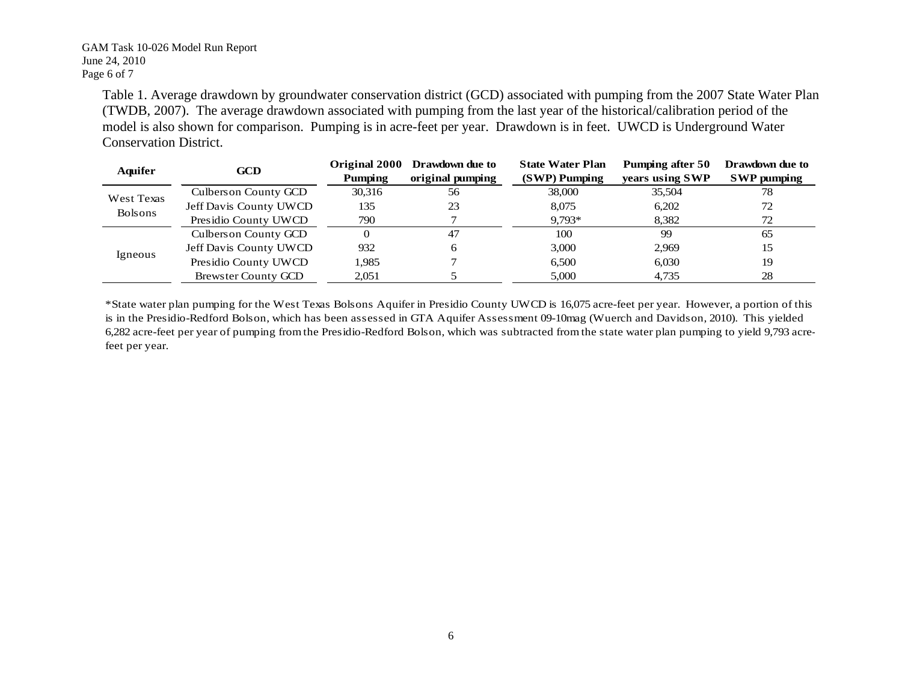#### GAM Task 10-026 Model Run Report June 24, 2010 Page 6 of 7

Table 1. Average drawdown by groundwater conservation district (GCD) associated with pumping from the 2007 State Water Plan (TWDB, 2007). The average drawdown associated with pumping from the last year of the historical/calibration period of the model is also shown for comparison. Pumping is in acre-feet per year. Drawdown is in feet. UWCD is Underground Water Conservation District.

| <b>Aquifer</b>               | <b>GCD</b>             |         | Original 2000 Drawdown due to | <b>State Water Plan</b> | Pumping after 50 | Drawdown due to    |
|------------------------------|------------------------|---------|-------------------------------|-------------------------|------------------|--------------------|
|                              |                        | Pumping | original pumping              | (SWP) Pumping           | years using SWP  | <b>SWP</b> pumping |
| West Texas<br><b>Bolsons</b> | Culbers on County GCD  | 30,316  | 56                            | 38,000                  | 35,504           | 78                 |
|                              | Jeff Davis County UWCD | 135     | 23                            | 8.075                   | 6.202            | 72                 |
|                              | Presidio County UWCD   | 790     |                               | $9,793*$                | 8,382            | 72                 |
| Igneous                      | Culberson County GCD   |         | 47                            | 100                     | 99               | 65                 |
|                              | Jeff Davis County UWCD | 932     | 6                             | 3,000                   | 2.969            | 15                 |
|                              | Presidio County UWCD   | 1.985   |                               | 6.500                   | 6.030            | 19                 |
|                              | Brewster County GCD    | 2,051   |                               | 5,000                   | 4.735            | 28                 |

\*State water plan pumping for the West Texas Bolsons Aquifer in Presidio County UWCD is 16,075 acre-feet per year. However, a portion of this is in the Presidio-Redford Bolson, which has been assessed in GTA Aquifer Assessment 09-10mag (Wuerch and Davidson, 2010). This yielded 6,282 acre-feet per year of pumping from the Presidio-Redford Bolson, which was subtracted from the state water plan pumping to yield 9,793 acrefeet per year.